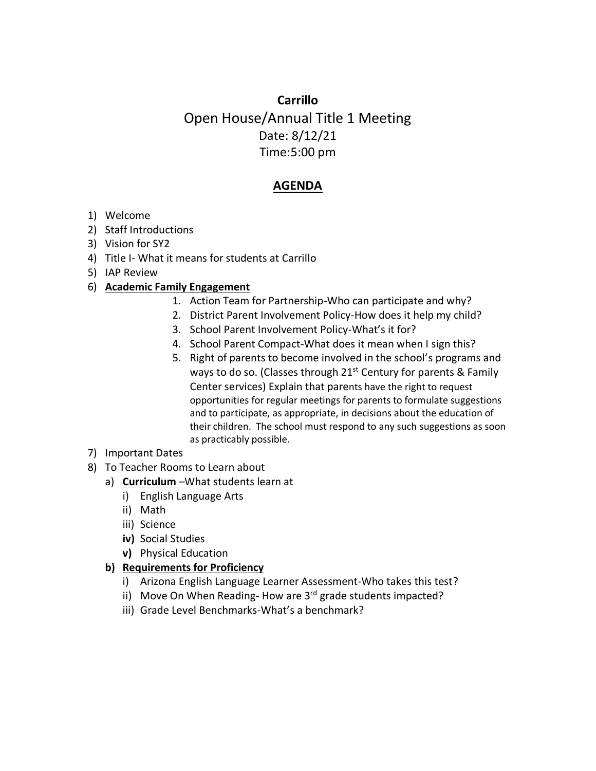## **Carrillo** Open House/Annual Title 1 Meeting Date: 8/12/21 Time:5:00 pm

## **AGENDA**

- 1) Welcome
- 2) Staff Introductions
- 3) Vision for SY2
- 4) Title I- What it means for students at Carrillo
- 5) IAP Review

## 6) **Academic Family Engagement**

- 1. Action Team for Partnership-Who can participate and why?
- 2. District Parent Involvement Policy-How does it help my child?
- 3. School Parent Involvement Policy-What's it for?
- 4. School Parent Compact-What does it mean when I sign this?
- 5. Right of parents to become involved in the school's programs and ways to do so. (Classes through  $21^{st}$  Century for parents & Family Center services) Explain that parents have the right to request opportunities for regular meetings for parents to formulate suggestions and to participate, as appropriate, in decisions about the education of their children. The school must respond to any such suggestions as soon as practicably possible.
- 7) Important Dates
- 8) To Teacher Rooms to Learn about
	- a) **Curriculum** –What students learn at
		- i) English Language Arts
		- ii) Math
		- iii) Science
		- **iv)** Social Studies
		- **v)** Physical Education

## **b) Requirements for Proficiency**

- i) Arizona English Language Learner Assessment-Who takes this test?
- ii) Move On When Reading-How are 3<sup>rd</sup> grade students impacted?
- iii) Grade Level Benchmarks-What's a benchmark?